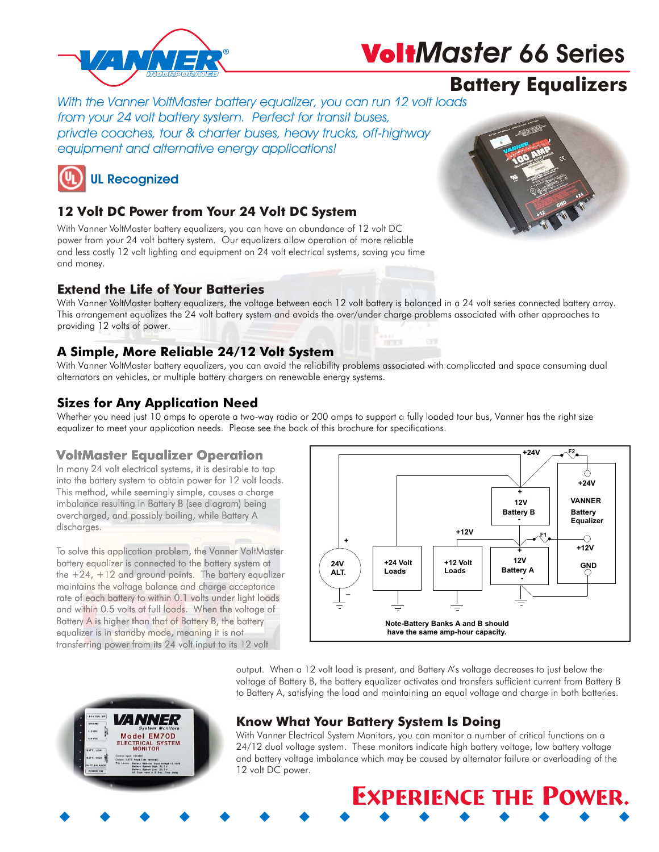

# Volt*Master* **66 Series**

### Battery Equalizers

*With the Vanner VoltMaster battery equalizer, you can run 12 volt loads from your 24 volt battery system. Perfect for transit buses, private coaches, tour & charter buses, heavy trucks, off-highway equipment and alternative energy applications!*



### 12 Volt DC Power from Your 24 Volt DC System

With Vanner VoltMaster battery equalizers, you can have an abundance of 12 volt DC power from your 24 volt battery system. Our equalizers allow operation of more reliable and less costly 12 volt lighting and equipment on 24 volt electrical systems, saving you time and money.

### Extend the Life of Your Batteries

With Vanner VoltMaster battery equalizers, the voltage between each 12 volt battery is balanced in a 24 volt series connected battery array. This arrangement equalizes the 24 volt battery system and avoids the over/under charge problems associated with other approaches to providing 12 volts of power.

#### A Simple, More Reliable 24/12 Volt System

With Vanner VoltMaster battery equalizers, you can avoid the reliability problems associated with complicated and space consuming dual alternators on vehicles, or multiple battery chargers on renewable energy systems.

### Sizes for Any Application Need

Whether you need just 10 amps to operate a two-way radio or 200 amps to support a fully loaded tour bus, Vanner has the right size equalizer to meet your application needs. Please see the back of this brochure for specifications.

#### VoltMaster Equalizer Operation

In many 24 volt electrical systems, it is desirable to tap into the battery system to obtain power for 12 volt loads. This method, while seemingly simple, causes a charge imbalance resulting in Battery B (see diagram) being overcharged, and possibly boiling, while Battery A discharges.

To solve this application problem, the Vanner VoltMaster battery equalizer is connected to the battery system at the  $+24$ ,  $+12$  and ground points. The battery equalizer maintains the voltage balance and charge acceptance rate of each battery to within 0.1 volts under light loads and within 0.5 volts at full loads. When the voltage of Battery A is higher than that of Battery B, the battery equalizer is in standby mode, meaning it is not transferring power from its 24 volt input to its 12 volt



output. When a 12 volt load is present, and Battery A's voltage decreases to just below the voltage of Battery B, the battery equalizer activates and transfers sufficient current from Battery B to Battery A, satisfying the load and maintaining an equal voltage and charge in both batteries.



### Know What Your Battery System Is Doing

w w w w w w w w w w w w w w w

With Vanner Electrical System Monitors, you can monitor a number of critical functions on a 24/12 dual voltage system. These monitors indicate high battery voltage, low battery voltage and battery voltage imbalance which may be caused by alternator failure or overloading of the 12 volt DC power.

Experience the Power.